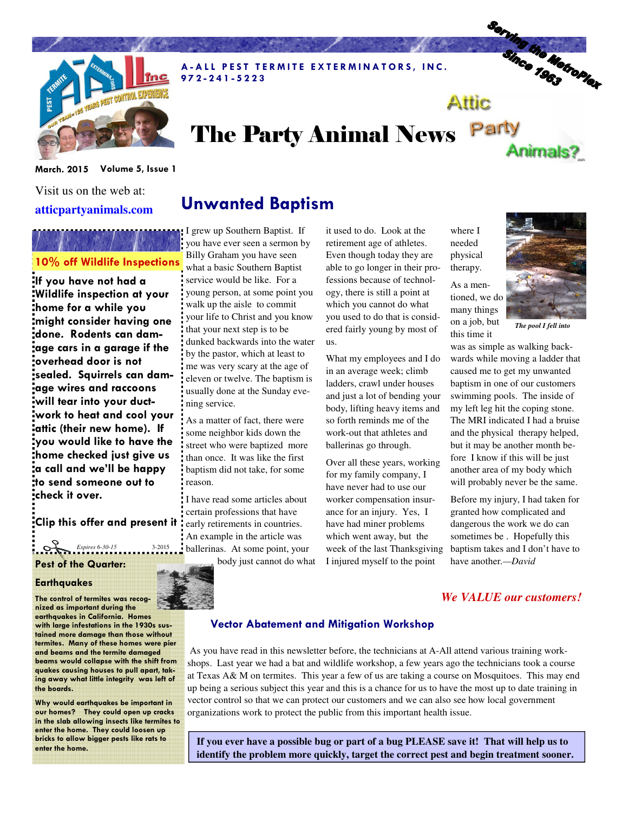

A-ALL PEST TERMITE EXTERMINATORS, INC. 9 7 2 - 2 4 1 - 5 2 2 3

# Serving the Metropier Attic The Party Animal News Party Animals?

March. 2015 Volume 5, Issue 1

Visit us on the web at: **atticpartyanimals.com** 

# 10% off Wildlife Inspections

If you have not had a Wildlife inspection at your home for a while you might consider having one done. Rodents can damage cars in a garage if the overhead door is not sealed. Squirrels can damage wires and raccoons will tear into your ductwork to heat and cool your attic (their new home). If you would like to have the home checked just give us a call and we'll be happy to send someone out to check it over.

Clip this offer and present it

## Pest of the Quarter:  $Expires 6-30-15$   $2015$

#### **Earthquakes**

The control of termites was recognized as important during the earthquakes in California. Homes with large infestations in the 1930s sustained more damage than those without termites. Many of these homes were pier and beams and the termite damaged beams would collapse with the shift from quakes causing houses to pull apart, taking away what little integrity was left of the boards.

Why would earthquakes be important in our homes? They could open up cracks in the slab allowing insects like termites to enter the home. They could loosen up bricks to allow bigger pests like rats to enter the home.

# Unwanted Baptism

I grew up Southern Baptist. If you have ever seen a sermon by Billy Graham you have seen what a basic Southern Baptist service would be like. For a young person, at some point you walk up the aisle to commit your life to Christ and you know that your next step is to be dunked backwards into the water by the pastor, which at least to me was very scary at the age of eleven or twelve. The baptism is usually done at the Sunday evening service.

As a matter of fact, there were some neighbor kids down the street who were baptized more than once. It was like the first baptism did not take, for some reason.

I have read some articles about certain professions that have early retirements in countries. An example in the article was ballerinas. At some point, your body just cannot do what

it used to do. Look at the retirement age of athletes. Even though today they are able to go longer in their professions because of technology, there is still a point at which you cannot do what you used to do that is considered fairly young by most of us.

What my employees and I do in an average week; climb ladders, crawl under houses and just a lot of bending your body, lifting heavy items and so forth reminds me of the work-out that athletes and ballerinas go through.

Over all these years, working for my family company, I have never had to use our worker compensation insurance for an injury. Yes, I have had miner problems which went away, but the week of the last Thanksgiving I injured myself to the point

where I needed physical therapy. As a men-

many things on a job, but this time it



*The pool I fell into* 

was as simple as walking backwards while moving a ladder that caused me to get my unwanted baptism in one of our customers swimming pools. The inside of my left leg hit the coping stone. The MRI indicated I had a bruise and the physical therapy helped, but it may be another month before I know if this will be just another area of my body which will probably never be the same.

Before my injury, I had taken for granted how complicated and dangerous the work we do can sometimes be . Hopefully this baptism takes and I don't have to have another*.—David*

## *We VALUE our customers!*

### Vector Abatement and Mitigation Workshop

 As you have read in this newsletter before, the technicians at A-All attend various training workshops. Last year we had a bat and wildlife workshop, a few years ago the technicians took a course at Texas A& M on termites. This year a few of us are taking a course on Mosquitoes. This may end up being a serious subject this year and this is a chance for us to have the most up to date training in vector control so that we can protect our customers and we can also see how local government organizations work to protect the public from this important health issue.

**If you ever have a possible bug or part of a bug PLEASE save it! That will help us to identify the problem more quickly, target the correct pest and begin treatment sooner.**